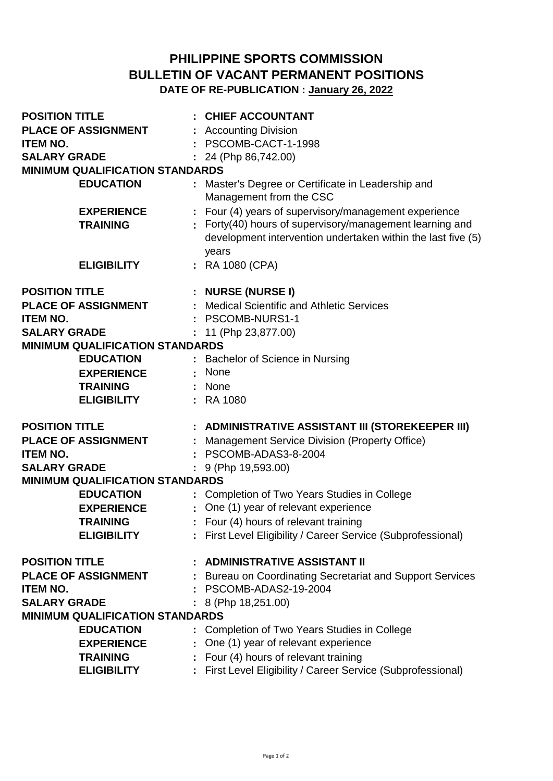## **PHILIPPINE SPORTS COMMISSION BULLETIN OF VACANT PERMANENT POSITIONS DATE OF RE-PUBLICATION : January 26, 2022**

| <b>POSITION TITLE</b>                  | : CHIEF ACCOUNTANT                                                                                            |
|----------------------------------------|---------------------------------------------------------------------------------------------------------------|
| <b>PLACE OF ASSIGNMENT</b>             | : Accounting Division                                                                                         |
| <b>ITEM NO.</b>                        | PSCOMB-CACT-1-1998                                                                                            |
| <b>SALARY GRADE</b>                    | 24 (Php 86,742.00)                                                                                            |
| <b>MINIMUM QUALIFICATION STANDARDS</b> |                                                                                                               |
| <b>EDUCATION</b>                       | : Master's Degree or Certificate in Leadership and<br>Management from the CSC                                 |
| <b>EXPERIENCE</b><br><b>TRAINING</b>   | Four (4) years of supervisory/management experience<br>Forty(40) hours of supervisory/management learning and |
|                                        | development intervention undertaken within the last five (5)<br>years                                         |
| <b>ELIGIBILITY</b>                     | : RA 1080 (CPA)                                                                                               |
| <b>POSITION TITLE</b>                  | : NURSE (NURSE I)                                                                                             |
| <b>PLACE OF ASSIGNMENT</b>             | <b>Medical Scientific and Athletic Services</b>                                                               |
| <b>ITEM NO.</b>                        | PSCOMB-NURS1-1                                                                                                |
| <b>SALARY GRADE</b>                    | 11 (Php 23,877.00)                                                                                            |
| <b>MINIMUM QUALIFICATION STANDARDS</b> |                                                                                                               |
| <b>EDUCATION</b>                       | : Bachelor of Science in Nursing                                                                              |
| <b>EXPERIENCE</b>                      | : None                                                                                                        |
| <b>TRAINING</b>                        | : None                                                                                                        |
|                                        |                                                                                                               |
| <b>ELIGIBILITY</b>                     | : RA 1080                                                                                                     |
| <b>POSITION TITLE</b>                  | : ADMINISTRATIVE ASSISTANT III (STOREKEEPER III)                                                              |
| <b>PLACE OF ASSIGNMENT</b>             | : Management Service Division (Property Office)                                                               |
| <b>ITEM NO.</b>                        | PSCOMB-ADAS3-8-2004                                                                                           |
| <b>SALARY GRADE</b>                    | 9 (Php 19,593.00)                                                                                             |
| <b>MINIMUM QUALIFICATION STANDARDS</b> |                                                                                                               |
| <b>EDUCATION</b>                       | : Completion of Two Years Studies in College                                                                  |
| <b>EXPERIENCE</b>                      | : One (1) year of relevant experience                                                                         |
| <b>TRAINING</b>                        | Four (4) hours of relevant training                                                                           |
| <b>ELIGIBILITY</b>                     | : First Level Eligibility / Career Service (Subprofessional)                                                  |
| <b>POSITION TITLE</b>                  | <b>ADMINISTRATIVE ASSISTANT II</b>                                                                            |
| <b>PLACE OF ASSIGNMENT</b>             | Bureau on Coordinating Secretariat and Support Services                                                       |
| <b>ITEM NO.</b>                        | PSCOMB-ADAS2-19-2004                                                                                          |
| <b>SALARY GRADE</b>                    | 8 (Php 18,251.00)                                                                                             |
| <b>MINIMUM QUALIFICATION STANDARDS</b> |                                                                                                               |
| <b>EDUCATION</b>                       | Completion of Two Years Studies in College                                                                    |
| <b>EXPERIENCE</b>                      | : One (1) year of relevant experience                                                                         |
| <b>TRAINING</b>                        | Four (4) hours of relevant training                                                                           |